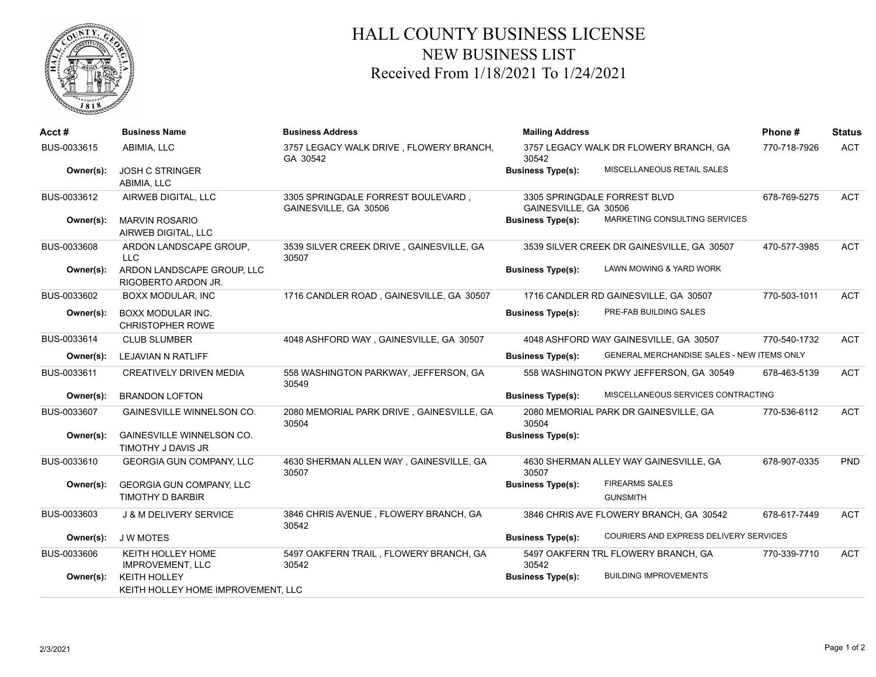

## HALL COUNTY BUSINESS LICENSE NEW BUSINESS LIST Received From 1/18/2021 To 1/24/2021

| Acct#       | <b>Business Name</b>                                       | <b>Business Address</b>                                     | <b>Mailing Address</b>                                                 | Phone#       | <b>Status</b> |
|-------------|------------------------------------------------------------|-------------------------------------------------------------|------------------------------------------------------------------------|--------------|---------------|
| BUS-0033615 | ABIMIA, LLC                                                | 3757 LEGACY WALK DRIVE, FLOWERY BRANCH,<br>GA 30542         | 3757 LEGACY WALK DR FLOWERY BRANCH, GA<br>30542                        | 770-718-7926 | <b>ACT</b>    |
| Owner(s):   | <b>JOSH C STRINGER</b><br>ABIMIA, LLC                      |                                                             | MISCELLANEOUS RETAIL SALES<br><b>Business Type(s):</b>                 |              |               |
| BUS-0033612 | AIRWEB DIGITAL, LLC                                        | 3305 SPRINGDALE FORREST BOULEVARD,<br>GAINESVILLE, GA 30506 | 3305 SPRINGDALE FORREST BLVD<br>GAINESVILLE, GA 30506                  | 678-769-5275 | <b>ACT</b>    |
| Owner(s):   | <b>MARVIN ROSARIO</b><br>AIRWEB DIGITAL, LLC               |                                                             | MARKETING CONSULTING SERVICES<br><b>Business Type(s):</b>              |              |               |
| BUS-0033608 | ARDON LANDSCAPE GROUP,<br>LLC                              | 3539 SILVER CREEK DRIVE, GAINESVILLE, GA<br>30507           | 3539 SILVER CREEK DR GAINESVILLE, GA 30507                             | 470-577-3985 | <b>ACT</b>    |
| Owner(s):   | ARDON LANDSCAPE GROUP, LLC<br>RIGOBERTO ARDON JR.          |                                                             | LAWN MOWING & YARD WORK<br><b>Business Type(s):</b>                    |              |               |
| BUS-0033602 | BOXX MODULAR, INC                                          | 1716 CANDLER ROAD, GAINESVILLE, GA 30507                    | 1716 CANDLER RD GAINESVILLE, GA 30507                                  | 770-503-1011 | <b>ACT</b>    |
| Owner(s):   | <b>BOXX MODULAR INC.</b><br><b>CHRISTOPHER ROWE</b>        |                                                             | PRE-FAB BUILDING SALES<br><b>Business Type(s):</b>                     |              |               |
| BUS-0033614 | <b>CLUB SLUMBER</b>                                        | 4048 ASHFORD WAY, GAINESVILLE, GA 30507                     | 4048 ASHFORD WAY GAINESVILLE, GA 30507                                 | 770-540-1732 | <b>ACT</b>    |
| Owner(s):   | LEJAVIAN N RATLIFF                                         |                                                             | GENERAL MERCHANDISE SALES - NEW ITEMS ONLY<br><b>Business Type(s):</b> |              |               |
| BUS-0033611 | <b>CREATIVELY DRIVEN MEDIA</b>                             | 558 WASHINGTON PARKWAY, JEFFERSON, GA<br>30549              | 558 WASHINGTON PKWY JEFFERSON, GA 30549                                | 678-463-5139 | <b>ACT</b>    |
| Owner(s):   | <b>BRANDON LOFTON</b>                                      |                                                             | MISCELLANEOUS SERVICES CONTRACTING<br><b>Business Type(s):</b>         |              |               |
| BUS-0033607 | <b>GAINESVILLE WINNELSON CO.</b>                           | 2080 MEMORIAL PARK DRIVE, GAINESVILLE, GA<br>30504          | 2080 MEMORIAL PARK DR GAINESVILLE, GA<br>30504                         | 770-536-6112 | <b>ACT</b>    |
| Owner(s):   | <b>GAINESVILLE WINNELSON CO.</b><br>TIMOTHY J DAVIS JR     |                                                             | <b>Business Type(s):</b>                                               |              |               |
| BUS-0033610 | GEORGIA GUN COMPANY, LLC                                   | 4630 SHERMAN ALLEN WAY, GAINESVILLE, GA<br>30507            | 4630 SHERMAN ALLEY WAY GAINESVILLE, GA<br>30507                        | 678-907-0335 | <b>PND</b>    |
| Owner(s):   | <b>GEORGIA GUN COMPANY, LLC</b><br><b>TIMOTHY D BARBIR</b> |                                                             | <b>FIREARMS SALES</b><br><b>Business Type(s):</b><br><b>GUNSMITH</b>   |              |               |
| BUS-0033603 | <b>J &amp; M DELIVERY SERVICE</b>                          | 3846 CHRIS AVENUE, FLOWERY BRANCH, GA<br>30542              | 3846 CHRIS AVE FLOWERY BRANCH, GA 30542                                | 678-617-7449 | <b>ACT</b>    |
| Owner(s):   | <b>JWMOTES</b>                                             |                                                             | COURIERS AND EXPRESS DELIVERY SERVICES<br><b>Business Type(s):</b>     |              |               |
| BUS-0033606 | <b>KEITH HOLLEY HOME</b><br><b>IMPROVEMENT, LLC</b>        | 5497 OAKFERN TRAIL, FLOWERY BRANCH, GA<br>30542             | 5497 OAKFERN TRL FLOWERY BRANCH, GA<br>30542                           | 770-339-7710 | <b>ACT</b>    |
| Owner(s):   | <b>KEITH HOLLEY</b><br>KEITH HOLLEY HOME IMPROVEMENT, LLC  |                                                             | <b>BUILDING IMPROVEMENTS</b><br><b>Business Type(s):</b>               |              |               |